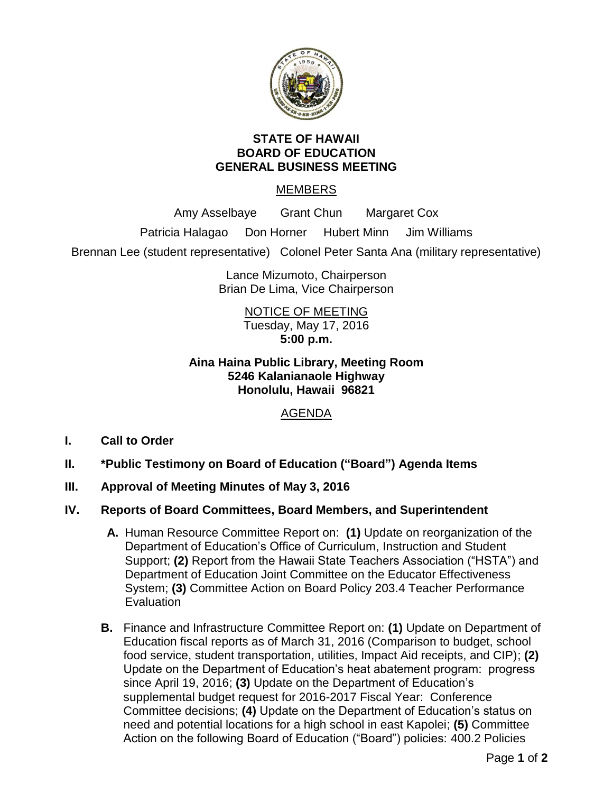

## **STATE OF HAWAII BOARD OF EDUCATION GENERAL BUSINESS MEETING**

# MEMBERS

Amy Asselbaye Grant Chun Margaret Cox

Patricia Halagao Don Horner Hubert Minn Jim Williams

Brennan Lee (student representative) Colonel Peter Santa Ana (military representative)

Lance Mizumoto, Chairperson Brian De Lima, Vice Chairperson

# NOTICE OF MEETING Tuesday, May 17, 2016 **5:00 p.m.**

# **Aina Haina Public Library, Meeting Room 5246 Kalanianaole Highway Honolulu, Hawaii 96821**

# AGENDA

- **I. Call to Order**
- **II. \*Public Testimony on Board of Education ("Board") Agenda Items**
- **III. Approval of Meeting Minutes of May 3, 2016**
- **IV. Reports of Board Committees, Board Members, and Superintendent**
	- **A.** Human Resource Committee Report on: **(1)** Update on reorganization of the Department of Education's Office of Curriculum, Instruction and Student Support; **(2)** Report from the Hawaii State Teachers Association ("HSTA") and Department of Education Joint Committee on the Educator Effectiveness System; **(3)** Committee Action on Board Policy 203.4 Teacher Performance **Evaluation**
	- **B.** Finance and Infrastructure Committee Report on: **(1)** Update on Department of Education fiscal reports as of March 31, 2016 (Comparison to budget, school food service, student transportation, utilities, Impact Aid receipts, and CIP); **(2)** Update on the Department of Education's heat abatement program: progress since April 19, 2016; **(3)** Update on the Department of Education's supplemental budget request for 2016-2017 Fiscal Year: Conference Committee decisions; **(4)** Update on the Department of Education's status on need and potential locations for a high school in east Kapolei; **(5)** Committee Action on the following Board of Education ("Board") policies: 400.2 Policies